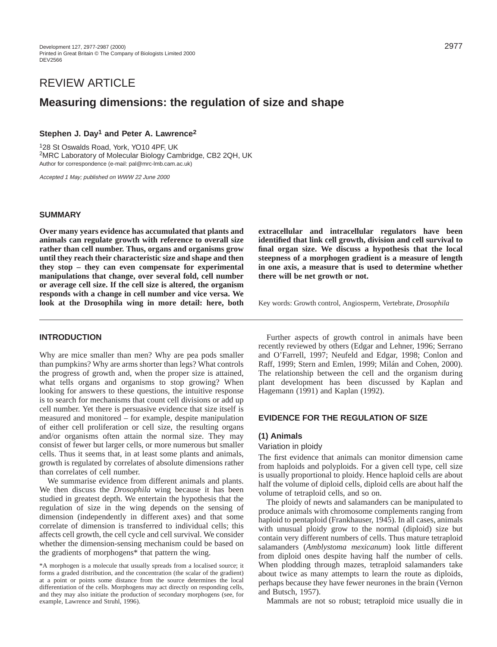# REVIEW ARTICLE

# **Measuring dimensions: the regulation of size and shape**

# **Stephen J. Day1 and Peter A. Lawrence2**

128 St Oswalds Road, York, YO10 4PF, UK 2MRC Laboratory of Molecular Biology Cambridge, CB2 2QH, UK Author for correspondence (e-mail: pal@mrc-lmb.cam.ac.uk)

Accepted 1 May; published on WWW 22 June 2000

## **SUMMARY**

**Over many years evidence has accumulated that plants and animals can regulate growth with reference to overall size rather than cell number. Thus, organs and organisms grow until they reach their characteristic size and shape and then they stop – they can even compensate for experimental manipulations that change, over several fold, cell number or average cell size. If the cell size is altered, the organism responds with a change in cell number and vice versa. We look at the Drosophila wing in more detail: here, both**

**INTRODUCTION**

Why are mice smaller than men? Why are pea pods smaller than pumpkins? Why are arms shorter than legs? What controls the progress of growth and, when the proper size is attained, what tells organs and organisms to stop growing? When looking for answers to these questions, the intuitive response is to search for mechanisms that count cell divisions or add up cell number. Yet there is persuasive evidence that size itself is measured and monitored – for example, despite manipulation of either cell proliferation or cell size, the resulting organs and/or organisms often attain the normal size. They may consist of fewer but larger cells, or more numerous but smaller cells. Thus it seems that, in at least some plants and animals, growth is regulated by correlates of absolute dimensions rather than correlates of cell number.

We summarise evidence from different animals and plants. We then discuss the *Drosophila* wing because it has been studied in greatest depth. We entertain the hypothesis that the regulation of size in the wing depends on the sensing of dimension (independently in different axes) and that some correlate of dimension is transferred to individual cells; this affects cell growth, the cell cycle and cell survival. We consider whether the dimension-sensing mechanism could be based on the gradients of morphogens\* that pattern the wing.

\*A morphogen is a molecule that usually spreads from a localised source; it forms a graded distribution, and the concentration (the scalar of the gradient) at a point or points some distance from the source determines the local differentiation of the cells. Morphogens may act directly on responding cells, and they may also initiate the production of secondary morphogens (see, for example, Lawrence and Struhl, 1996).

**extracellular and intracellular regulators have been identified that link cell growth, division and cell survival to final organ size. We discuss a hypothesis that the local steepness of a morphogen gradient is a measure of length in one axis, a measure that is used to determine whether there will be net growth or not.**

Key words: Growth control, Angiosperm, Vertebrate, *Drosophila*

Further aspects of growth control in animals have been recently reviewed by others (Edgar and Lehner, 1996; Serrano and O'Farrell, 1997; Neufeld and Edgar, 1998; Conlon and Raff, 1999; Stern and Emlen, 1999; Milán and Cohen, 2000). The relationship between the cell and the organism during plant development has been discussed by Kaplan and Hagemann (1991) and Kaplan (1992).

## **EVIDENCE FOR THE REGULATION OF SIZE**

### **(1) Animals**

## Variation in ploidy

The first evidence that animals can monitor dimension came from haploids and polyploids. For a given cell type, cell size is usually proportional to ploidy. Hence haploid cells are about half the volume of diploid cells, diploid cells are about half the volume of tetraploid cells, and so on.

The ploidy of newts and salamanders can be manipulated to produce animals with chromosome complements ranging from haploid to pentaploid (Frankhauser, 1945). In all cases, animals with unusual ploidy grow to the normal (diploid) size but contain very different numbers of cells. Thus mature tetraploid salamanders (*Amblystoma mexicanum*) look little different from diploid ones despite having half the number of cells. When plodding through mazes, tetraploid salamanders take about twice as many attempts to learn the route as diploids, perhaps because they have fewer neurones in the brain (Vernon and Butsch, 1957).

Mammals are not so robust; tetraploid mice usually die in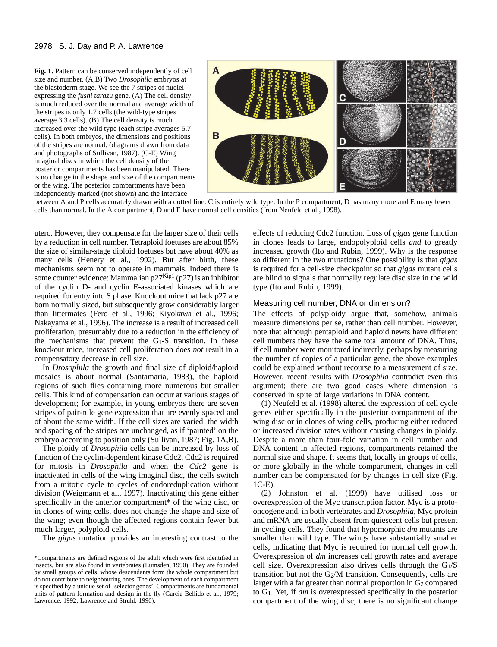Fig. 1. Pattern can be conserved independently of cell size and number. (A,B) Two *Drosophila* embryos at the blastoderm stage. We see the 7 stripes of nuclei expressing the *fushi tarazu* gene. (A) The cell density is much reduced over the normal and average width of the stripes is only 1.7 cells (the wild-type stripes average 3.3 cells). (B) The cell density is much increased over the wild type (each stripe averages 5.7 cells). In both embryos, the dimensions and positions of the stripes are normal. (diagrams drawn from data and photographs of Sullivan, 1987). (C-E) Wing imaginal discs in which the cell density of the posterior compartments has been manipulated. There is no change in the shape and size of the compartments or the wing. The posterior compartments have been independently marked (not shown) and the interface



between A and P cells accurately drawn with a dotted line. C is entirely wild type. In the P compartment, D has many more and E many fewer cells than normal. In the A compartment, D and E have normal cell densities (from Neufeld et al., 1998).

utero. However, they compensate for the larger size of their cells by a reduction in cell number. Tetraploid foetuses are about 85% the size of similar-stage diploid foetuses but have about 40% as many cells (Henery et al., 1992). But after birth, these mechanisms seem not to operate in mammals. Indeed there is some counter evidence: Mammalian  $p27^{Kip1}$  ( $p27$ ) is an inhibitor of the cyclin D- and cyclin E-associated kinases which are required for entry into S phase. Knockout mice that lack p27 are born normally sized, but subsequently grow considerably larger than littermates (Fero et al., 1996; Kiyokawa et al., 1996; Nakayama et al., 1996). The increase is a result of increased cell proliferation, presumably due to a reduction in the efficiency of the mechanisms that prevent the  $G_1-S$  transition. In these knockout mice, increased cell proliferation does *not* result in a compensatory decrease in cell size.

In *Drosophila* the growth and final size of diploid/haploid mosaics is about normal (Santamaria, 1983), the haploid regions of such flies containing more numerous but smaller cells. This kind of compensation can occur at various stages of development; for example, in young embryos there are seven stripes of pair-rule gene expression that are evenly spaced and of about the same width. If the cell sizes are varied, the width and spacing of the stripes are unchanged, as if 'painted' on the embryo according to position only (Sullivan, 1987; Fig. 1A,B).

The ploidy of *Drosophila* cells can be increased by loss of function of the cyclin-dependent kinase Cdc2. Cdc2 is required for mitosis in *Drosophila* and when the *Cdc2* gene is inactivated in cells of the wing imaginal disc, the cells switch from a mitotic cycle to cycles of endoreduplication without division (Weigmann et al., 1997). Inactivating this gene either specifically in the anterior compartment\* of the wing disc, or in clones of wing cells, does not change the shape and size of the wing; even though the affected regions contain fewer but much larger, polyploid cells.

The *gigas* mutation provides an interesting contrast to the

effects of reducing Cdc2 function. Loss of *gigas* gene function in clones leads to large, endopolyploid cells *and* to greatly increased growth (Ito and Rubin, 1999). Why is the response so different in the two mutations? One possibility is that *gigas* is required for a cell-size checkpoint so that *gigas* mutant cells are blind to signals that normally regulate disc size in the wild type (Ito and Rubin, 1999).

## Measuring cell number, DNA or dimension?

The effects of polyploidy argue that, somehow, animals measure dimensions per se, rather than cell number. However, note that although pentaploid and haploid newts have different cell numbers they have the same total amount of DNA. Thus, if cell number were monitored indirectly, perhaps by measuring the number of copies of a particular gene, the above examples could be explained without recourse to a measurement of size. However, recent results with *Drosophila* contradict even this argument; there are two good cases where dimension is conserved in spite of large variations in DNA content.

(1) Neufeld et al. (1998) altered the expression of cell cycle genes either specifically in the posterior compartment of the wing disc or in clones of wing cells, producing either reduced or increased division rates without causing changes in ploidy. Despite a more than four-fold variation in cell number and DNA content in affected regions, compartments retained the normal size and shape. It seems that, locally in groups of cells, or more globally in the whole compartment, changes in cell number can be compensated for by changes in cell size (Fig. 1C-E).

(2) Johnston et al. (1999) have utilised loss or overexpression of the Myc transcription factor. Myc is a protooncogene and, in both vertebrates and *Drosophila*, Myc protein and mRNA are usually absent from quiescent cells but present in cycling cells. They found that hypomorphic *dm* mutants are smaller than wild type. The wings have substantially smaller cells, indicating that Myc is required for normal cell growth. Overexpression of *dm* increases cell growth rates and average cell size. Overexpression also drives cells through the  $G<sub>1</sub>/S$ transition but not the  $G_2/M$  transition. Consequently, cells are larger with a far greater than normal proportion in  $G_2$  compared to G1. Yet, if *dm* is overexpressed specifically in the posterior compartment of the wing disc, there is no significant change

<sup>\*</sup>Compartments are defined regions of the adult which were first identified in insects, but are also found in vertebrates (Lumsden, 1990). They are founded by small groups of cells, whose descendants form the whole compartment but do not contribute to neighbouring ones. The development of each compartment is specified by a unique set of 'selector genes'. Compartments are fundamental units of pattern formation and design in the fly (Garcia-Bellido et al., 1979; Lawrence, 1992; Lawrence and Struhl, 1996).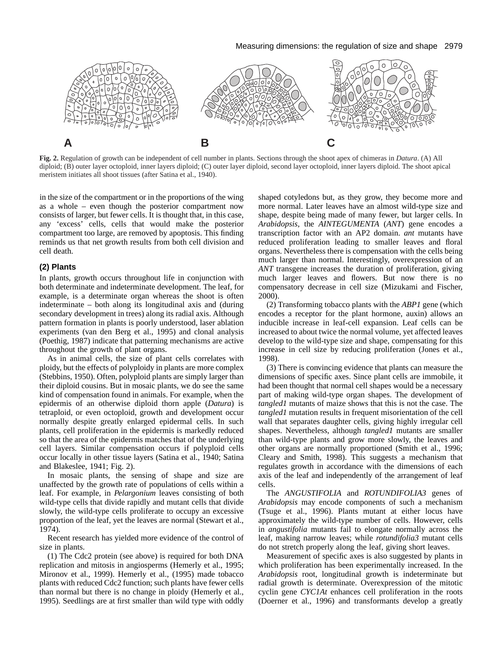#### Measuring dimensions: the regulation of size and shape 2979



**Fig. 2.** Regulation of growth can be independent of cell number in plants. Sections through the shoot apex of chimeras in *Datura*. (A) All diploid; (B) outer layer octoploid, inner layers diploid; (C) outer layer diploid, second layer octoploid, inner layers diploid. The shoot apical meristem initiates all shoot tissues (after Satina et al., 1940).

in the size of the compartment or in the proportions of the wing as a whole – even though the posterior compartment now consists of larger, but fewer cells. It is thought that, in this case, any 'excess' cells, cells that would make the posterior compartment too large, are removed by apoptosis. This finding reminds us that net growth results from both cell division and cell death.

## **(2) Plants**

In plants, growth occurs throughout life in conjunction with both determinate and indeterminate development. The leaf, for example, is a determinate organ whereas the shoot is often indeterminate – both along its longitudinal axis and (during secondary development in trees) along its radial axis. Although pattern formation in plants is poorly understood, laser ablation experiments (van den Berg et al., 1995) and clonal analysis (Poethig, 1987) indicate that patterning mechanisms are active throughout the growth of plant organs.

As in animal cells, the size of plant cells correlates with ploidy, but the effects of polyploidy in plants are more complex (Stebbins, 1950). Often, polyploid plants are simply larger than their diploid cousins. But in mosaic plants, we do see the same kind of compensation found in animals. For example, when the epidermis of an otherwise diploid thorn apple (*Datura*) is tetraploid, or even octoploid, growth and development occur normally despite greatly enlarged epidermal cells. In such plants, cell proliferation in the epidermis is markedly reduced so that the area of the epidermis matches that of the underlying cell layers. Similar compensation occurs if polyploid cells occur locally in other tissue layers (Satina et al., 1940; Satina and Blakeslee, 1941; Fig. 2).

In mosaic plants, the sensing of shape and size are unaffected by the growth rate of populations of cells within a leaf. For example, in *Pelargonium* leaves consisting of both wild-type cells that divide rapidly and mutant cells that divide slowly, the wild-type cells proliferate to occupy an excessive proportion of the leaf, yet the leaves are normal (Stewart et al., 1974).

Recent research has yielded more evidence of the control of size in plants.

(1) The Cdc2 protein (see above) is required for both DNA replication and mitosis in angiosperms (Hemerly et al., 1995; Mironov et al., 1999). Hemerly et al., (1995) made tobacco plants with reduced Cdc2 function; such plants have fewer cells than normal but there is no change in ploidy (Hemerly et al., 1995). Seedlings are at first smaller than wild type with oddly

shaped cotyledons but, as they grow, they become more and more normal. Later leaves have an almost wild-type size and shape, despite being made of many fewer, but larger cells. In *Arabidopsis*, the *AINTEGUMENTA* (*ANT*) gene encodes a transcription factor with an AP2 domain. *ant* mutants have reduced proliferation leading to smaller leaves and floral organs. Nevertheless there is compensation with the cells being much larger than normal. Interestingly, overexpression of an *ANT* transgene increases the duration of proliferation, giving much larger leaves and flowers. But now there is no compensatory decrease in cell size (Mizukami and Fischer, 2000).

(2) Transforming tobacco plants with the *ABP1* gene (which encodes a receptor for the plant hormone, auxin) allows an inducible increase in leaf-cell expansion. Leaf cells can be increased to about twice the normal volume, yet affected leaves develop to the wild-type size and shape, compensating for this increase in cell size by reducing proliferation (Jones et al., 1998).

(3) There is convincing evidence that plants can measure the dimensions of specific axes. Since plant cells are immobile, it had been thought that normal cell shapes would be a necessary part of making wild-type organ shapes. The development of *tangled1* mutants of maize shows that this is not the case. The *tangled1* mutation results in frequent misorientation of the cell wall that separates daughter cells, giving highly irregular cell shapes. Nevertheless, although *tangled1* mutants are smaller than wild-type plants and grow more slowly, the leaves and other organs are normally proportioned (Smith et al., 1996; Cleary and Smith, 1998). This suggests a mechanism that regulates growth in accordance with the dimensions of each axis of the leaf and independently of the arrangement of leaf cells.

The *ANGUSTIFOLIA* and *ROTUNDIFOLIA3* genes of *Arabidopsis* may encode components of such a mechanism (Tsuge et al., 1996). Plants mutant at either locus have approximately the wild-type number of cells. However, cells in *angustifolia* mutants fail to elongate normally across the leaf, making narrow leaves; while *rotundifolia3* mutant cells do not stretch properly along the leaf, giving short leaves.

Measurement of specific axes is also suggested by plants in which proliferation has been experimentally increased. In the *Arabidopsis* root, longitudinal growth is indeterminate but radial growth is determinate. Overexpression of the mitotic cyclin gene *CYC1At* enhances cell proliferation in the roots (Doerner et al., 1996) and transformants develop a greatly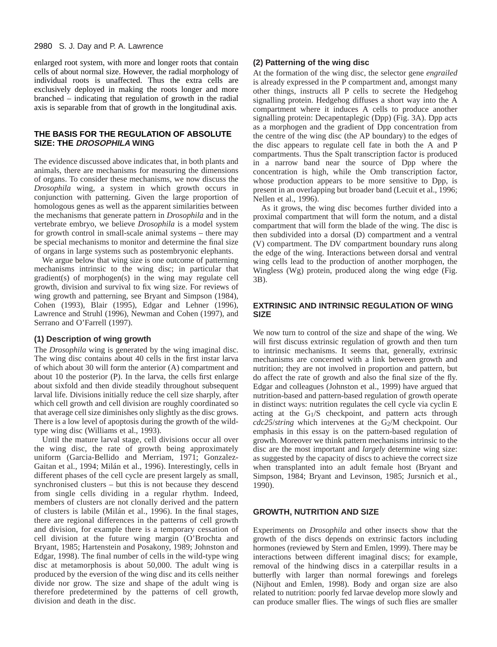enlarged root system, with more and longer roots that contain cells of about normal size. However, the radial morphology of individual roots is unaffected. Thus the extra cells are exclusively deployed in making the roots longer and more branched – indicating that regulation of growth in the radial axis is separable from that of growth in the longitudinal axis.

## **THE BASIS FOR THE REGULATION OF ABSOLUTE SIZE: THE DROSOPHILA WING**

The evidence discussed above indicates that, in both plants and animals, there are mechanisms for measuring the dimensions of organs. To consider these mechanisms, we now discuss the *Drosophila* wing, a system in which growth occurs in conjunction with patterning. Given the large proportion of homologous genes as well as the apparent similarities between the mechanisms that generate pattern in *Drosophila* and in the vertebrate embryo, we believe *Drosophila* is a model system for growth control in small-scale animal systems – there may be special mechanisms to monitor and determine the final size of organs in large systems such as postembryonic elephants.

We argue below that wing size is one outcome of patterning mechanisms intrinsic to the wing disc; in particular that gradient(s) of morphogen(s) in the wing may regulate cell growth, division and survival to fix wing size. For reviews of wing growth and patterning, see Bryant and Simpson (1984), Cohen (1993), Blair (1995), Edgar and Lehner (1996), Lawrence and Struhl (1996), Newman and Cohen (1997), and Serrano and O'Farrell (1997).

#### **(1) Description of wing growth**

The *Drosophila* wing is generated by the wing imaginal disc. The wing disc contains about 40 cells in the first instar larva of which about 30 will form the anterior (A) compartment and about 10 the posterior (P). In the larva, the cells first enlarge about sixfold and then divide steadily throughout subsequent larval life. Divisions initially reduce the cell size sharply, after which cell growth and cell division are roughly coordinated so that average cell size diminishes only slightly as the disc grows. There is a low level of apoptosis during the growth of the wildtype wing disc (Williams et al., 1993).

Until the mature larval stage, cell divisions occur all over the wing disc, the rate of growth being approximately uniform (Garcia-Bellido and Merriam, 1971; Gonzalez-Gaitan et al., 1994; Milán et al., 1996). Interestingly, cells in different phases of the cell cycle are present largely as small, synchronised clusters – but this is not because they descend from single cells dividing in a regular rhythm. Indeed, members of clusters are not clonally derived and the pattern of clusters is labile (Milán et al., 1996). In the final stages, there are regional differences in the patterns of cell growth and division, for example there is a temporary cessation of cell division at the future wing margin (O'Brochta and Bryant, 1985; Hartenstein and Posakony, 1989; Johnston and Edgar, 1998). The final number of cells in the wild-type wing disc at metamorphosis is about 50,000. The adult wing is produced by the eversion of the wing disc and its cells neither divide nor grow. The size and shape of the adult wing is therefore predetermined by the patterns of cell growth, division and death in the disc.

## **(2) Patterning of the wing disc**

At the formation of the wing disc, the selector gene *engrailed* is already expressed in the P compartment and, amongst many other things, instructs all P cells to secrete the Hedgehog signalling protein. Hedgehog diffuses a short way into the A compartment where it induces A cells to produce another signalling protein: Decapentaplegic (Dpp) (Fig. 3A). Dpp acts as a morphogen and the gradient of Dpp concentration from the centre of the wing disc (the AP boundary) to the edges of the disc appears to regulate cell fate in both the A and P compartments. Thus the Spalt transcription factor is produced in a narrow band near the source of Dpp where the concentration is high, while the Omb transcription factor, whose production appears to be more sensitive to Dpp, is present in an overlapping but broader band (Lecuit et al., 1996; Nellen et al., 1996).

As it grows, the wing disc becomes further divided into a proximal compartment that will form the notum, and a distal compartment that will form the blade of the wing. The disc is then subdivided into a dorsal (D) compartment and a ventral (V) compartment. The DV compartment boundary runs along the edge of the wing. Interactions between dorsal and ventral wing cells lead to the production of another morphogen, the Wingless (Wg) protein, produced along the wing edge (Fig. 3B).

## **EXTRINSIC AND INTRINSIC REGULATION OF WING SIZE**

We now turn to control of the size and shape of the wing. We will first discuss extrinsic regulation of growth and then turn to intrinsic mechanisms. It seems that, generally, extrinsic mechanisms are concerned with a link between growth and nutrition; they are not involved in proportion and pattern, but do affect the rate of growth and also the final size of the fly. Edgar and colleagues (Johnston et al., 1999) have argued that nutrition-based and pattern-based regulation of growth operate in distinct ways: nutrition regulates the cell cycle via cyclin E acting at the G1/S checkpoint, and pattern acts through *cdc25*/*string* which intervenes at the G2/M checkpoint. Our emphasis in this essay is on the pattern-based regulation of growth. Moreover we think pattern mechanisms intrinsic to the disc are the most important and *largely* determine wing size: as suggested by the capacity of discs to achieve the correct size when transplanted into an adult female host (Bryant and Simpson, 1984; Bryant and Levinson, 1985; Jursnich et al., 1990).

## **GROWTH, NUTRITION AND SIZE**

Experiments on *Drosophila* and other insects show that the growth of the discs depends on extrinsic factors including hormones (reviewed by Stern and Emlen, 1999). There may be interactions between different imaginal discs; for example, removal of the hindwing discs in a caterpillar results in a butterfly with larger than normal forewings and forelegs (Nijhout and Emlen, 1998). Body and organ size are also related to nutrition: poorly fed larvae develop more slowly and can produce smaller flies. The wings of such flies are smaller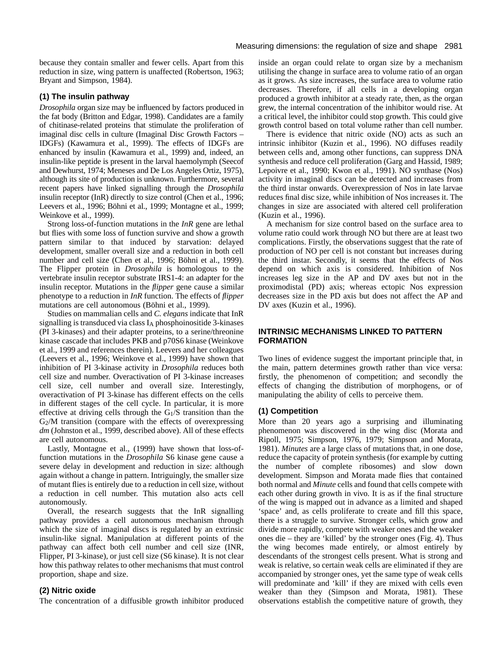because they contain smaller and fewer cells. Apart from this reduction in size, wing pattern is unaffected (Robertson, 1963; Bryant and Simpson, 1984).

## **(1) The insulin pathway**

*Drosophila* organ size may be influenced by factors produced in the fat body (Britton and Edgar, 1998). Candidates are a family of chitinase-related proteins that stimulate the proliferation of imaginal disc cells in culture (Imaginal Disc Growth Factors – IDGFs) (Kawamura et al., 1999). The effects of IDGFs are enhanced by insulin (Kawamura et al., 1999) and, indeed, an insulin-like peptide is present in the larval haemolymph (Seecof and Dewhurst, 1974; Meneses and De Los Angeles Ortiz, 1975), although its site of production is unknown. Furthermore, several recent papers have linked signalling through the *Drosophila* insulin receptor (InR) directly to size control (Chen et al., 1996; Leevers et al., 1996; Böhni et al., 1999; Montagne et al., 1999; Weinkove et al., 1999).

Strong loss-of-function mutations in the *InR* gene are lethal but flies with some loss of function survive and show a growth pattern similar to that induced by starvation: delayed development, smaller overall size and a reduction in both cell number and cell size (Chen et al., 1996; Böhni et al., 1999). The Flipper protein in *Drosophila* is homologous to the vertebrate insulin receptor substrate IRS1-4: an adapter for the insulin receptor. Mutations in the *flipper* gene cause a similar phenotype to a reduction in *InR* function. The effects of *flipper* mutations are cell autonomous (Böhni et al., 1999).

Studies on mammalian cells and *C. elegans* indicate that InR signalling is transduced via class I<sub>A</sub> phosphoinositide 3-kinases (PI 3-kinases) and their adapter proteins, to a serine/threonine kinase cascade that includes PKB and p70S6 kinase (Weinkove et al., 1999 and references therein). Leevers and her colleagues (Leevers et al., 1996; Weinkove et al., 1999) have shown that inhibition of PI 3-kinase activity in *Drosophila* reduces both cell size and number. Overactivation of PI 3-kinase increases cell size, cell number and overall size. Interestingly, overactivation of PI 3-kinase has different effects on the cells in different stages of the cell cycle. In particular, it is more effective at driving cells through the G1/S transition than the  $G<sub>2</sub>/M$  transition (compare with the effects of overexpressing dm (Johnston et al., 1999, described above). All of these effects are cell autonomous.

Lastly, Montagne et al., (1999) have shown that loss-offunction mutations in the *Drosophila* S6 kinase gene cause a severe delay in development and reduction in size: although again without a change in pattern. Intriguingly, the smaller size of mutant flies is entirely due to a reduction in cell size, without a reduction in cell number. This mutation also acts cell autonomously.

Overall, the research suggests that the InR signalling pathway provides a cell autonomous mechanism through which the size of imaginal discs is regulated by an extrinsic insulin-like signal. Manipulation at different points of the pathway can affect both cell number and cell size (INR, Flipper, PI 3-kinase), or just cell size (S6 kinase). It is not clear how this pathway relates to other mechanisms that must control proportion, shape and size.

## **(2) Nitric oxide**

The concentration of a diffusible growth inhibitor produced

inside an organ could relate to organ size by a mechanism utilising the change in surface area to volume ratio of an organ as it grows. As size increases, the surface area to volume ratio decreases. Therefore, if all cells in a developing organ produced a growth inhibitor at a steady rate, then, as the organ grew, the internal concentration of the inhibitor would rise. At a critical level, the inhibitor could stop growth. This could give growth control based on total volume rather than cell number.

There is evidence that nitric oxide (NO) acts as such an intrinsic inhibitor (Kuzin et al., 1996). NO diffuses readily between cells and, among other functions, can suppress DNA synthesis and reduce cell proliferation (Garg and Hassid, 1989; Lepoivre et al., 1990; Kwon et al., 1991). NO synthase (Nos) activity in imaginal discs can be detected and increases from the third instar onwards. Overexpression of Nos in late larvae reduces final disc size, while inhibition of Nos increases it. The changes in size are associated with altered cell proliferation (Kuzin et al., 1996).

A mechanism for size control based on the surface area to volume ratio could work through NO but there are at least two complications. Firstly, the observations suggest that the rate of production of NO per cell is not constant but increases during the third instar. Secondly, it seems that the effects of Nos depend on which axis is considered. Inhibition of Nos increases leg size in the AP and DV axes but not in the proximodistal (PD) axis; whereas ectopic Nos expression decreases size in the PD axis but does not affect the AP and DV axes (Kuzin et al., 1996).

## **INTRINSIC MECHANISMS LINKED TO PATTERN FORMATION**

Two lines of evidence suggest the important principle that, in the main, pattern determines growth rather than vice versa: firstly, the phenomenon of competition; and secondly the effects of changing the distribution of morphogens, or of manipulating the ability of cells to perceive them.

## **(1) Competition**

More than 20 years ago a surprising and illuminating phenomenon was discovered in the wing disc (Morata and Ripoll, 1975; Simpson, 1976, 1979; Simpson and Morata, 1981). *Minutes* are a large class of mutations that, in one dose, reduce the capacity of protein synthesis (for example by cutting the number of complete ribosomes) and slow down development. Simpson and Morata made flies that contained both normal and *Minute* cells and found that cells compete with each other during growth in vivo. It is as if the final structure of the wing is mapped out in advance as a limited and shaped 'space' and, as cells proliferate to create and fill this space, there is a struggle to survive. Stronger cells, which grow and divide more rapidly, compete with weaker ones and the weaker ones die – they are 'killed' by the stronger ones (Fig. 4). Thus the wing becomes made entirely, or almost entirely by descendants of the strongest cells present. What is strong and weak is relative, so certain weak cells are eliminated if they are accompanied by stronger ones, yet the same type of weak cells will predominate and 'kill' if they are mixed with cells even weaker than they (Simpson and Morata, 1981). These observations establish the competitive nature of growth, they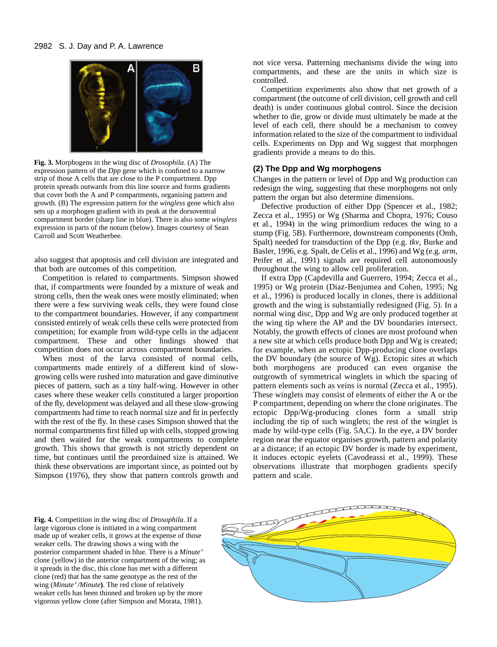

**Fig. 3.** Morphogens in the wing disc of *Drosophila.* (A) The expression pattern of the *Dpp* gene which is confined to a narrow strip of those A cells that are close to the P compartment. Dpp protein spreads outwards from this line source and forms gradients that cover both the A and P compartments, organising pattern and growth. (B) The expression pattern for the *wingless* gene which also sets up a morphogen gradient with its peak at the dorsoventral compartment border (sharp line in blue). There is also some *wingless* expression in parts of the notum (below). Images courtesy of Sean Carroll and Scott Weatherbee.

also suggest that apoptosis and cell division are integrated and that both are outcomes of this competition.

Competition is related to compartments. Simpson showed that, if compartments were founded by a mixture of weak and strong cells, then the weak ones were mostly eliminated; when there were a few surviving weak cells, they were found close to the compartment boundaries. However, if any compartment consisted entirely of weak cells these cells were protected from competition; for example from wild-type cells in the adjacent compartment. These and other findings showed that competition does not occur across compartment boundaries.

When most of the larva consisted of normal cells, compartments made entirely of a different kind of slowgrowing cells were rushed into maturation and gave diminutive pieces of pattern, such as a tiny half-wing. However in other cases where these weaker cells constituted a larger proportion of the fly, development was delayed and all these slow-growing compartments had time to reach normal size and fit in perfectly with the rest of the fly. In these cases Simpson showed that the normal compartments first filled up with cells, stopped growing and then waited for the weak compartments to complete growth. This shows that growth is not strictly dependent on time, but continues until the preordained size is attained. We think these observations are important since, as pointed out by Simpson (1976), they show that pattern controls growth and not vice versa. Patterning mechanisms divide the wing into compartments, and these are the units in which size is controlled.

Competition experiments also show that net growth of a compartment (the outcome of cell division, cell growth and cell death) is under continuous global control. Since the decision whether to die, grow or divide must ultimately be made at the level of each cell, there should be a mechanism to convey information related to the size of the compartment to individual cells. Experiments on Dpp and Wg suggest that morphogen gradients provide a means to do this.

## **(2) The Dpp and Wg morphogens**

Changes in the pattern or level of Dpp and Wg production can redesign the wing, suggesting that these morphogens not only pattern the organ but also determine dimensions.

Defective production of either Dpp (Spencer et al., 1982; Zecca et al., 1995) or Wg (Sharma and Chopra, 1976; Couso et al., 1994) in the wing primordium reduces the wing to a stump (Fig. 5B). Furthermore, downstream components (Omb, Spalt) needed for transduction of the Dpp (e.g. *tkv*, Burke and Basler, 1996, e.g. Spalt, de Celis et al., 1996) and Wg (e.g. *arm*, Peifer et al., 1991) signals are required cell autonomously throughout the wing to allow cell proliferation.

If extra Dpp (Capdevilla and Guerrero, 1994; Zecca et al., 1995) or Wg protein (Diaz-Benjumea and Cohen, 1995; Ng et al., 1996) is produced locally in clones, there is additional growth and the wing is substantially redesigned (Fig. 5). In a normal wing disc, Dpp and Wg are only produced together at the wing tip where the AP and the DV boundaries intersect. Notably, the growth effects of clones are most profound when a new site at which cells produce both Dpp and Wg is created; for example, when an ectopic Dpp-producing clone overlaps the DV boundary (the source of Wg). Ectopic sites at which both morphogens are produced can even organise the outgrowth of symmetrical winglets in which the spacing of pattern elements such as veins is normal (Zecca et al., 1995). These winglets may consist of elements of either the A or the P compartment, depending on where the clone originates. The ectopic Dpp/Wg-producing clones form a small strip including the tip of such winglets; the rest of the winglet is made by wild-type cells (Fig. 5A,C). In the eye, a DV border region near the equator organises growth, pattern and polarity at a distance; if an ectopic DV border is made by experiment, it induces ectopic eyelets (Cavodeassi et al., 1999). These observations illustrate that morphogen gradients specify pattern and scale.

**Fig. 4.** Competition in the wing disc of *Drosophila*. If a large vigorous clone is initiated in a wing compartment made up of weaker cells, it grows at the expense of those weaker cells. The drawing shows a wing with the posterior compartment shaded in blue. There is a *Minute+* clone (yellow) in the anterior compartment of the wing; as it spreads in the disc, this clone has met with a different clone (red) that has the same genotype as the rest of the wing (*Minute+/Minute***)**. The red clone of relatively weaker cells has been thinned and broken up by the more vigorous yellow clone (after Simpson and Morata, 1981).

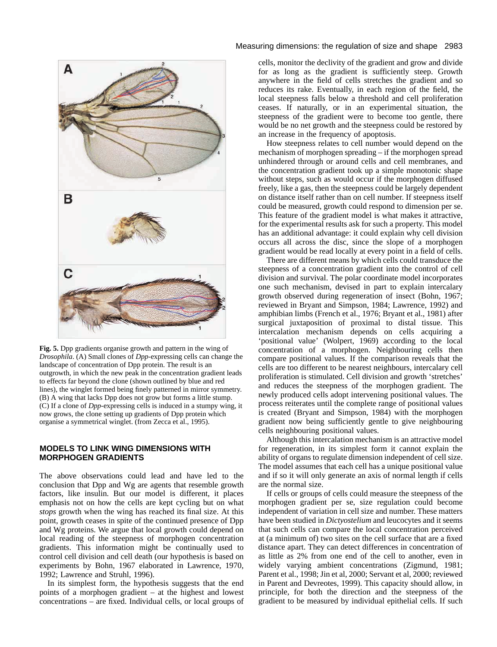

**Fig. 5.** Dpp gradients organise growth and pattern in the wing of *Drosophila*. (A) Small clones of *Dpp*-expressing cells can change the landscape of concentration of Dpp protein. The result is an outgrowth, in which the new peak in the concentration gradient leads to effects far beyond the clone (shown outlined by blue and red lines), the winglet formed being finely patterned in mirror symmetry. (B) A wing that lacks Dpp does not grow but forms a little stump. (C) If a clone of *Dpp*-expressing cells is induced in a stumpy wing, it now grows, the clone setting up gradients of Dpp protein which organise a symmetrical winglet. (from Zecca et al., 1995).

## **MODELS TO LINK WING DIMENSIONS WITH MORPHOGEN GRADIENTS**

The above observations could lead and have led to the conclusion that Dpp and Wg are agents that resemble growth factors, like insulin. But our model is different, it places emphasis not on how the cells are kept cycling but on what *stops* growth when the wing has reached its final size. At this point, growth ceases in spite of the continued presence of Dpp and Wg proteins. We argue that local growth could depend on local reading of the steepness of morphogen concentration gradients. This information might be continually used to control cell division and cell death (our hypothesis is based on experiments by Bohn, 1967 elaborated in Lawrence, 1970, 1992; Lawrence and Struhl, 1996).

In its simplest form, the hypothesis suggests that the end points of a morphogen gradient – at the highest and lowest concentrations – are fixed. Individual cells, or local groups of

## Measuring dimensions: the regulation of size and shape 2983

cells, monitor the declivity of the gradient and grow and divide for as long as the gradient is sufficiently steep. Growth anywhere in the field of cells stretches the gradient and so reduces its rake. Eventually, in each region of the field, the local steepness falls below a threshold and cell proliferation ceases. If naturally, or in an experimental situation, the steepness of the gradient were to become too gentle, there would be no net growth and the steepness could be restored by an increase in the frequency of apoptosis.

How steepness relates to cell number would depend on the mechanism of morphogen spreading – if the morphogen spread unhindered through or around cells and cell membranes, and the concentration gradient took up a simple monotonic shape without steps, such as would occur if the morphogen diffused freely, like a gas, then the steepness could be largely dependent on distance itself rather than on cell number. If steepness itself could be measured, growth could respond to dimension per se. This feature of the gradient model is what makes it attractive, for the experimental results ask for such a property. This model has an additional advantage: it could explain why cell division occurs all across the disc, since the slope of a morphogen gradient would be read locally at every point in a field of cells.

There are different means by which cells could transduce the steepness of a concentration gradient into the control of cell division and survival. The polar coordinate model incorporates one such mechanism, devised in part to explain intercalary growth observed during regeneration of insect (Bohn, 1967; reviewed in Bryant and Simpson, 1984; Lawrence, 1992) and amphibian limbs (French et al., 1976; Bryant et al., 1981) after surgical juxtaposition of proximal to distal tissue. This intercalation mechanism depends on cells acquiring a 'positional value' (Wolpert, 1969) according to the local concentration of a morphogen. Neighbouring cells then compare positional values. If the comparison reveals that the cells are too different to be nearest neighbours, intercalary cell proliferation is stimulated. Cell division and growth 'stretches' and reduces the steepness of the morphogen gradient. The newly produced cells adopt intervening positional values. The process reiterates until the complete range of positional values is created (Bryant and Simpson, 1984) with the morphogen gradient now being sufficiently gentle to give neighbouring cells neighbouring positional values.

Although this intercalation mechanism is an attractive model for regeneration, in its simplest form it cannot explain the ability of organs to regulate dimension independent of cell size. The model assumes that each cell has a unique positional value and if so it will only generate an axis of normal length if cells are the normal size.

If cells or groups of cells could measure the steepness of the morphogen gradient per se, size regulation could become independent of variation in cell size and number. These matters have been studied in *Dictyostelium* and leucocytes and it seems that such cells can compare the local concentration perceived at (a minimum of) two sites on the cell surface that are a fixed distance apart. They can detect differences in concentration of as little as 2% from one end of the cell to another, even in widely varying ambient concentrations (Zigmund, 1981; Parent et al., 1998; Jin et al, 2000; Servant et al, 2000; reviewed in Parent and Devreotes, 1999). This capacity should allow, in principle, for both the direction and the steepness of the gradient to be measured by individual epithelial cells. If such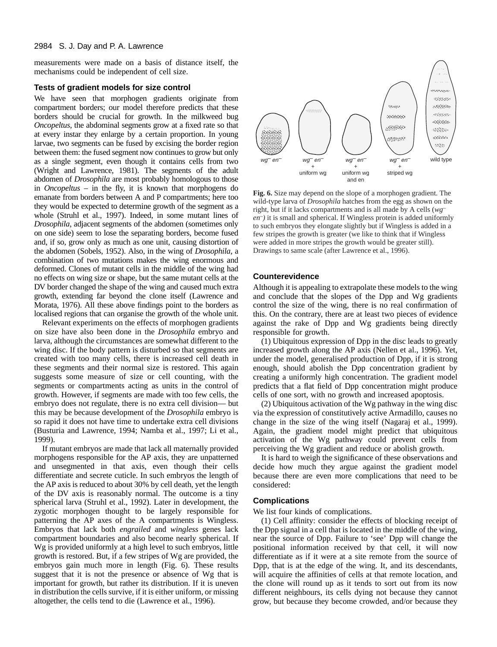measurements were made on a basis of distance itself, the mechanisms could be independent of cell size.

#### **Tests of gradient models for size control**

We have seen that morphogen gradients originate from compartment borders; our model therefore predicts that these borders should be crucial for growth. In the milkweed bug *Oncopeltus*, the abdominal segments grow at a fixed rate so that at every instar they enlarge by a certain proportion. In young larvae, two segments can be fused by excising the border region between them: the fused segment now continues to grow but only as a single segment, even though it contains cells from two (Wright and Lawrence, 1981). The segments of the adult abdomen of *Drosophila* are most probably homologous to those in *Oncopeltus* – in the fly, it is known that morphogens do emanate from borders between A and P compartments; here too they would be expected to determine growth of the segment as a whole (Struhl et al., 1997). Indeed, in some mutant lines of *Drosophila*, adjacent segments of the abdomen (sometimes only on one side) seem to lose the separating borders, become fused and, if so, grow only as much as one unit, causing distortion of the abdomen (Sobels, 1952). Also, in the wing of *Drosophila*, a combination of two mutations makes the wing enormous and deformed. Clones of mutant cells in the middle of the wing had no effects on wing size or shape, but the same mutant cells at the DV border changed the shape of the wing and caused much extra growth, extending far beyond the clone itself (Lawrence and Morata, 1976). All these above findings point to the borders as localised regions that can organise the growth of the whole unit.

Relevant experiments on the effects of morphogen gradients on size have also been done in the *Drosophila* embryo and larva, although the circumstances are somewhat different to the wing disc. If the body pattern is disturbed so that segments are created with too many cells, there is increased cell death in these segments and their normal size is restored. This again suggests some measure of size or cell counting, with the segments or compartments acting as units in the control of growth. However, if segments are made with too few cells, the embryo does not regulate, there is no extra cell division— but this may be because development of the *Drosophila* embryo is so rapid it does not have time to undertake extra cell divisions (Busturia and Lawrence, 1994; Namba et al., 1997; Li et al., 1999).

If mutant embryos are made that lack all maternally provided morphogens responsible for the AP axis, they are unpatterned and unsegmented in that axis, even though their cells differentiate and secrete cuticle. In such embryos the length of the AP axis is reduced to about 30% by cell death, yet the length of the DV axis is reasonably normal. The outcome is a tiny spherical larva (Struhl et al., 1992). Later in development, the zygotic morphogen thought to be largely responsible for patterning the AP axes of the A compartments is Wingless. Embryos that lack both *engrailed* and *wingless* genes lack compartment boundaries and also become nearly spherical. If Wg is provided uniformly at a high level to such embryos, little growth is restored. But, if a few stripes of Wg are provided, the embryos gain much more in length (Fig. 6). These results suggest that it is not the presence or absence of Wg that is important for growth, but rather its distribution. If it is uneven in distribution the cells survive, if it is either uniform, or missing altogether, the cells tend to die (Lawrence et al., 1996).



**Fig. 6.** Size may depend on the slope of a morphogen gradient. The wild-type larva of *Drosophila* hatches from the egg as shown on the right, but if it lacks compartments and is all made by A cells (*wg– en–)* it is small and spherical. If Wingless protein is added uniformly to such embryos they elongate slightly but if Wingless is added in a few stripes the growth is greater (we like to think that if Wingless were added in more stripes the growth would be greater still). Drawings to same scale (after Lawrence et al., 1996).

## **Counterevidence**

Although it is appealing to extrapolate these models to the wing and conclude that the slopes of the Dpp and Wg gradients control the size of the wing, there is no real confirmation of this. On the contrary, there are at least two pieces of evidence against the rake of Dpp and Wg gradients being directly responsible for growth.

(1) Ubiquitous expression of Dpp in the disc leads to greatly increased growth along the AP axis (Nellen et al., 1996). Yet, under the model, generalised production of Dpp, if it is strong enough, should abolish the Dpp concentration gradient by creating a uniformly high concentration. The gradient model predicts that a flat field of Dpp concentration might produce cells of one sort, with no growth and increased apoptosis.

(2) Ubiquitous activation of the Wg pathway in the wing disc via the expression of constitutively active Armadillo, causes no change in the size of the wing itself (Nagaraj et al., 1999). Again, the gradient model might predict that ubiquitous activation of the Wg pathway could prevent cells from perceiving the Wg gradient and reduce or abolish growth.

It is hard to weigh the significance of these observations and decide how much they argue against the gradient model because there are even more complications that need to be considered:

### **Complications**

We list four kinds of complications.

(1) Cell affinity: consider the effects of blocking receipt of the Dpp signal in a cell that is located in the middle of the wing, near the source of Dpp. Failure to 'see' Dpp will change the positional information received by that cell, it will now differentiate as if it were at a site remote from the source of Dpp, that is at the edge of the wing. It, and its descendants, will acquire the affinities of cells at that remote location, and the clone will round up as it tends to sort out from its now different neighbours, its cells dying not because they cannot grow, but because they become crowded, and/or because they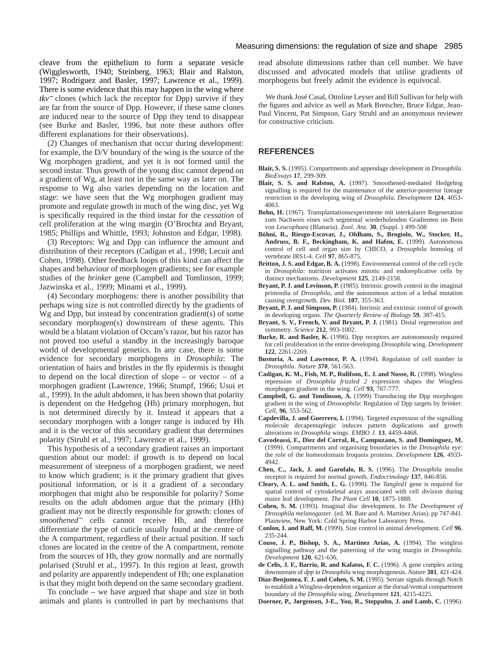cleave from the epithelium to form a separate vesicle (Wigglesworth, 1940; Steinberg, 1963; Blair and Ralston, 1997; Rodriguez and Basler, 1997; Lawrence et al., 1999). There is some evidence that this may happen in the wing where *tkv*<sup>−</sup> clones (which lack the receptor for Dpp) survive if they are far from the source of Dpp. However, if these same clones are induced near to the source of Dpp they tend to disappear (see Burke and Basler, 1996, but note these authors offer different explanations for their observations).

(2) Changes of mechanism that occur during development: for example, the D/V boundary of the wing is the source of the Wg morphogen gradient, and yet it is not formed until the second instar. Thus growth of the young disc cannot depend on a gradient of Wg, at least not in the same way as later on. The response to Wg also varies depending on the location and stage: we have seen that the Wg morphogen gradient may promote and regulate growth in much of the wing disc, yet Wg is specifically required in the third instar for the *cessation* of cell proliferation at the wing margin (O'Brochta and Bryant, 1985; Phillips and Whittle, 1993; Johnston and Edgar, 1998).

(3) Receptors: Wg and Dpp can influence the amount and distribution of their receptors (Cadigan et al., 1998; Lecuit and Cohen, 1998). Other feedback loops of this kind can affect the shapes and behaviour of morphogen gradients; see for example studies of the *brinker* gene (Campbell and Tomlinson, 1999; Jazwinska et al., 1999; Minami et al., 1999).

(4) Secondary morphogens: there is another possibility that perhaps wing size is not controlled directly by the gradients of Wg and Dpp, but instead by concentration gradient(s) of some secondary morphogen(s) downstream of these agents. This would be a blatant violation of Occam's razor, but his razor has not proved too useful a standby in the increasingly baroque world of developmental genetics. In any case, there is some evidence for secondary morphogens in *Drosophila*: The orientation of hairs and bristles in the fly epidermis is thought to depend on the local direction of slope – or vector – of a morphogen gradient (Lawrence, 1966; Stumpf, 1966; Usui et al., 1999). In the adult abdomen, it has been shown that polarity is dependent on the Hedgehog (Hh) primary morphogen, but is not determined directly by it. Instead it appears that a secondary morphogen with a longer range is induced by Hh and it is the vector of this secondary gradient that determines polarity (Struhl et al., 1997; Lawrence et al., 1999).

This hypothesis of a secondary gradient raises an important question about our model: if growth is to depend on local measurement of steepness of a morphogen gradient, we need to know which gradient; is it the primary gradient that gives positional information, or is it a gradient of a secondary morphogen that might also be responsible for polarity? Some results on the adult abdomen argue that the primary (Hh) gradient may not be directly responsible for growth: clones of *smoothened*<sup>−</sup> cells cannot receive Hh, and therefore differentiate the type of cuticle usually found at the centre of the A compartment, regardless of their actual position. If such clones are located in the centre of the A compartment, remote from the sources of Hh, they grow normally and are normally polarised (Struhl et al., 1997). In this region at least, growth and polarity are apparently independent of Hh; one explanation is that they might both depend on the same secondary gradient.

To conclude – we have argued that shape and size in both animals and plants is controlled in part by mechanisms that

#### Measuring dimensions: the regulation of size and shape 2985

read absolute dimensions rather than cell number. We have discussed and advocated models that utilise gradients of morphogens but freely admit the evidence is equivocal.

We thank José Casal, Ottoline Leyser and Bill Sullivan for help with the figures and advice as well as Mark Bretscher, Bruce Edgar, Jean-Paul Vincent, Pat Simpson, Gary Struhl and an anonymous reviewer for constructive criticism.

## **REFERENCES**

- **Blair, S. S.** (1995). Compartments and appendage development in *Drosophila*. *BioEssays* **17**, 299-309.
- **Blair, S. S. and Ralston, A.** (1997). Smoothened-mediated Hedgehog signalling is required for the maintenance of the anterior-posterior lineage restriction in the developing wing of *Drosophila*. *Development* **124**, 4053- 4063.
- **Bohn, H.** (1967). Transplantationsexperimente mit interkalarer Regeneration zum Nachweis eines sich segmental wiederholenden Gradienten im Bein von *Leucophaea* (Blattaria). *Zool. Anz.* **30**, (Suppl. ) 499-508
- **Böhni, R., Riesgo-Escovar, J., Oldham, S., Brogiolo, W., Stocker, H., Andruss, B. F., Beckingham, K. and Hafen, E.** (1999). Autonomous control of cell and organ size by CHICO, a *Drosophila* homolog of vertebrate IRS1-4. *Cell* **97**, 865-875.
- **Britton, J. S. and Edgar, B. A.** (1998). Environmental control of the cell cycle in *Drosophila*: nutrition activates mitotic and endoreplicative cells by distinct mechanisms. *Development* **125**, 2149-2158.
- **Bryant, P. J. and Levinson, P.** (1985). Intrinsic growth control in the imaginal primordia of *Drosophila*, and the autonomous action of a lethal mutation causing overgrowth. *Dev. Biol.* **107**, 355-363.
- **Bryant, P. J. and Simpson, P.** (1984). Intrinsic and extrinsic control of growth in developing organs. *The Quarterly Review of Biology* **59**, 387-415.
- **Bryant, S. V., French, V. and Bryant, P. J.** (1981). Distal regeneration and symmetry. *Science* **212**, 993-1002.
- Burke, R. and Basler, K. (1996). Dpp receptors are autonomously required for cell proliferation in the entire developing *Drosophila* wing. *Development* **122**, 2261-2269.
- **Busturia, A. and Lawrence, P. A.** (1994). Regulation of cell number in *Drosophila*. *Nature* **370**, 561-563.
- **Cadigan, K. M., Fish, M. P., Rulifson, E. J. and Nusse, R.** (1998). Wingless repression of *Drosophila frizzled 2* expression shapes the Wingless morphogen gradient in the wing. *Cell* **93**, 767-777.
- **Campbell, G. and Tomlinson, A.** (1999) Transducing the Dpp morphogen gradient in the wing of *Drosoophila*: Regulation of Dpp targets by *brinker*. *Cell*, **96**, 553-562.
- **Capdevilla, J. and Guerrero, I.** (1994). Targeted expression of the signalling molecule decapentaplegic induces pattern duplications and growth alterations in *Drosophila* wings. *EMBO J*. **13**, 4459-4468.
- **Cavodeassi, F., Diez del Corral, R., Campuzano, S. and Dominguez, M.** (1999). Compartments and organising boundaries in the *Drosophila* eye: the role of the homeodomain Iroquois proteins. *Development* **126**, 4933- 4942.
- **Chen, C., Jack, J. and Garofalo, R. S.** (1996). The *Drosophila* insulin receptor is required for normal growth. *Endocrinology* **137**, 846-856.
- **Cleary, A. L. and Smith, L. G.** (1998). The *Tangled1* gene is required for spatial control of cytoskeletal arays associated with cell division during maize leaf development. *The Plant Cell* **10**, 1875-1888.
- **Cohen, S. M.** (1993). Imaginal disc development. In *The Development of Drosophila melanogaster*. (ed. M. Bate and A. Martinez Arias). pp 747-841. Plainview, New York: Cold Spring Harbor Laboratory Press.
- **Conlon, I. and Raff, M.** (1999). Size control in animal development. *Cell* **96**, 235-244.
- **Couso, J. P., Bishop, S. A., Martinez Arias, A.** (1994). The wingless signalling pathway and the patterning of the wing margin in *Drosophila*. *Development* **120**, 621-636.
- **de Celis, J. F., Barrio, R. and Kafatos, F. C.** (1996). A gene complex acting downstream of *dpp* in *Drosophila* wing morphogenesis. *Nature* **381**, 421-424.
- **Diaz-Benjumea, F. J. and Cohen, S. M.** (1995). Serrate signals through Notch to establish a Wingless-dependent organizer at the dorsal/ventral compartment boundary of the *Drosophila* wing. *Development* **121**, 4215-4225.
- **Doerner, P., Jørgensen, J-E., You, R., Steppuhn, J. and Lamb, C.** (1996).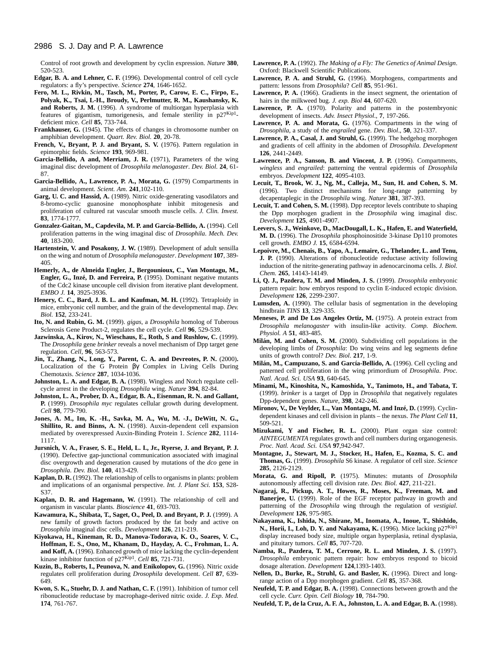Control of root growth and development by cyclin expression. *Nature* **380**, 520-523.

- **Edgar, B. A. and Lehner, C. F.** (1996). Developmental control of cell cycle regulators: a fly's perspective. *Science* **274**, 1646-1652.
- **Fero, M. L., Rivkin, M., Tasch, M., Porter, P., Carow, E. C., Firpo, E., Polyak, K., Tsai, L-H., Broudy, V., Perlmutter, R. M., Kaushansky, K. and Roberts, J. M.** (1996). A syndrome of multiorgan hyperplasia with features of gigantism, tumorigenesis, and female sterility in p27Kip1 deficient mice. *Cell* **85**, 733-744.
- **Frankhauser, G.** (1945). The effects of changes in chromosome number on amphibian development. *Quart. Rev. Biol.* **20**, 20-78.
- French, V., Bryant, P. J. and Bryant, S. V. (1976). Pattern regulation in epimorphic fields. *Science* **193**, 969-981.
- **Garcia-Bellido, A and, Merriam, J. R.** (1971), Parameters of the wing imaginal disc development of *Drosophila melanogaster*. *Dev. Biol.* **24**, 61- 87.
- **Garcia-Bellido, A., Lawrence, P. A., Morata, G.** (1979) Compartments in animal development. *Scient. Am*. **241**,102-110.
- **Garg, U. C. and Hassid, A.** (1989). Nitric oxide-generating vasodilators and 8-bromo-cyclic guanosine monophosphate inhibit mitogenesis and proliferation of cultured rat vascular smooth muscle cells. *J. Clin. Invest.* **83**, 1774-1777.
- **Gonzalez-Gaitan, M., Capdevila, M. P. and García-Bellido, A.** (1994). Cell proliferation patterns in the wing imaginal disc of *Drosophila*. *Mech. Dev.* **40**, 183-200.
- **Hartenstein, V. and Posakony, J. W.** (1989). Development of adult sensilla on the wing and notum of *Drosophila melanogaster*. *Development* **107**, 389- 405.
- **Hemerly, A., de Almeida Engler, J., Bergounioux, C., Van Montagu, M., Engler, G., Inzé, D. and Ferreira, P.** (1995). Dominant negative mutants of the Cdc2 kinase uncouple cell division from iterative plant development. *EMBO J.* **14**, 3925-3936.
- Henery, C. C., Bard, J. B. L. and Kaufman, M. H. (1992). Tetraploidy in mice, embryonic cell number, and the grain of the developmental map. *Dev. Biol.* **152**, 233-241.
- **Ito, N. and Rubin, G. M.** (1999). *gigas*, a *Drosophila* homolog of Tuberous Sclerosis Gene Product-2, regulates the cell cycle. *Cell* **96**, 529-539.
- **Jazwinska, A., Kirov, N., Wieschaus, E., Roth, S and Rushlow, C.** (1999). The *Drosophila* gene *brinker* reveals a novel mechanism of Dpp target gene regulation. *Cell*, **96**, 563-573.
- **Jin, T., Zhang, N., Long, Y., Parent, C. A. and Devreotes, P. N.** (2000)**.** Localization of the G Protein βγ Complex in Living Cells During Chemotaxis. *Science* **287**, 1034-1036.
- Johnston, L. A. and Edgar, B. A. (1998). Wingless and Notch regulate cellcycle arrest in the developing *Drosophila* wing. *Nature* **394**, 82-84.
- **Johnston, L. A., Prober, D. A., Edgar, B. A., Eisenman, R. N. and Gallant, P.** (1999). *Drosophila myc* regulates cellular growth during development. *Cell* **98**, 779-790.
- **Jones, A. M., Im, K. -H., Savka, M. A., Wu, M. -J., DeWitt, N. G., Shillito, R. and Binns, A. N.** (1998). Auxin-dependent cell expansion mediated by overexpressed Auxin-Binding Protein 1. *Science* **282**, 1114- 1117.
- **Jursnich, V. A., Fraser, S. E., Held, L. I., Jr., Ryerse, J. and Bryant, P. J.** (1990). Defective gap-junctional communication associated with imaginal disc overgrowth and degeneration caused by mutations of the *dco* gene in *Drosophila*. *Dev. Biol.* **140**, 413-429.
- **Kaplan, D. R.** (1992). The relationship of cells to organisms in plants: problem and implications of an organismal perspective. *Int. J. Plant Sci.* **153**, S28- S37.
- **Kaplan, D. R. and Hagemann, W.** (1991). The relationship of cell and organism in vascular plants. *Bioscience* **41**, 693-703.
- **Kawamura, K., Shibata, T., Saget, O., Peel, D. and Bryant, P. J.** (1999). A new family of growth factors produced by the fat body and active on *Drosophila* imaginal disc cells. *Development* **126**, 211-219.
- **Kiyokawa, H., Kineman, R. D., Manova-Todorava, K. O., Soares, V. C., Hoffman, E. S., Ono, M., Khanam, D., Hayday, A. C., Frohman, L. A. and Koff, A.** (1996). Enhanced growth of mice lacking the cyclin-dependent kinase inhibitor function of p27Kip1. *Cell* **85**, 721-731.
- **Kuzin, B., Roberts, I., Peunova, N. and Enikolopov, G.** (1996). Nitric oxide regulates cell proliferation during *Drosophila* development. *Cell* **87**, 639- 649.
- **Kwon, S. K., Stuehr, D. J. and Nathan, C. F.** (1991). Inhibition of tumor cell ribonucleotide reductase by macrophage-derived nitric oxide. *J. Exp. Med.* **174**, 761-767.
- **Lawrence, P. A.** (1992). *The Making of a Fly: The Genetics of Animal Design*. Oxford: Blackwell Scientific Publications.
- **Lawrence, P. A. and Struhl, G.** (1996). Morphogens, compartments and pattern: lessons from *Drosophila*? *Cell* **85**, 951-961.
- **Lawrence, P. A.** (1966). Gradients in the insect segment, the orientation of hairs in the milkweed bug. *J. exp. Biol* **44**, 607-620.
- Lawrence, P. A. (1970). Polarity and patterns in the postembryonic development of insects. *Adv. Insect Physiol*., **7**, 197-266.
- Lawrence, P. A. and Morata, G. (1976). Compartments in the wing of *Drosophila*, a study of the *engrailed* gene. *Dev. Biol*., **50**, 321-337.
- Lawrence, P. A., Casal, J. and Struhl, G. (1999). The hedgehog morphogen and gradients of cell affinity in the abdomen of *Drosophila*. *Development* **126**, 2441-2449.
- Lawrence, P. A., Sanson, B. and Vincent, J. P. (1996). Compartments, *wingless* and *engrailed*: patterning the ventral epidermis of *Drosophila* embryos. *Development* **122**, 4095-4103.
- **Lecuit, T., Brook, W. J., Ng, M., Calleja, M., Sun, H. and Cohen, S. M.** (1996). Two distinct mechanisms for long-range patterning by decapentaplegic in the *Drosophila* wing. *Nature* **381**, 387-393.
- **Lecuit, T. and Cohen, S. M.** (1998). Dpp receptor levels contribute to shaping the Dpp morphogen gradient in the *Drosophila* wing imaginal disc. *Development* **125**, 4901-4907.
- **Leevers, S. J., Weinkove, D., MacDougall, L. K., Hafen, E. and Waterfield, M. D.** (1996). The *Drosophila* phosphoinositide 3-kinase Dp110 promotes cell growth. *EMBO J.* **15**, 6584-6594.
- **Lepoivre, M., Chenais, B., Yapo, A., Lemaire, G., Thelander, L. and Tenu, J. P.** (1990). Alterations of ribonucleotide reductase activity following induction of the nitrite-generating pathway in adenocarcinoma cells. *J. Biol. Chem.* **265**, 14143-14149.
- **Li, Q. J., Pazdera, T. M. and Minden, J. S.** (1999). *Drosophila* embryonic pattern repair: how embryos respond to cyclin E-induced ectopic division. *Development* **126**, 2299-2307.
- Lumsden, A. (1990). The cellular basis of segmentation in the developing hindbrain *TINS* **13**, 329-335.
- **Meneses, P. and De Los Angeles Ortiz, M.** (1975). A protein extract from *Drosophila melanogaster* with insulin-like activity. *Comp. Biochem. Physiol. A* **51**, 483-485.
- **Milán, M. and Cohen, S. M.** (2000). Subdividing cell populations in the developing limbs of *Drosophila*: Do wing veins and leg segments define units of growth control? *Dev. Biol*. **217**, 1-9.
- **Milán, M., Campuzano, S. and García-Bellido, A.** (1996). Cell cycling and patterned cell proliferation in the wing primordium of *Drosophila*. *Proc. Natl. Acad. Sci. USA* **93**, 640-645.
- **Minami, M., Kinoshita, N., Kamoshida, Y., Tanimoto, H., and Tabata, T.** (1999). *brinker* is a target of Dpp in *Drosophila* that negatively regulates Dpp-dependent genes. *Nature*, **398**, 242-246.
- Mironov, V., De Veylder, L., Van Montagu, M. and Inzé, D. (1999). Cyclindependent kinases and cell division in plants – the nexus. *The Plant Cell* **11**, 509-521.
- **Mizukami, Y and Fischer, R. L.** (2000). Plant organ size control: *AINTEGUMENTA* regulates growth and cell numbers during organogenesis. *Proc. Natl. Acad. Sci. USA* **97**,942-947.
- **Montagne, J., Stewart, M. J., Stocker, H., Hafen, E., Kozma, S. C. and Thomas, G.** (1999). *Drosophila* S6 kinase. A regulator of cell size. *Science* **285**, 2126-2129.
- **Morata, G. and Ripoll, P.** (1975). Minutes: mutants of *Drosophila* autonomously affecting cell division rate. *Dev. Biol.* **427**, 211-221.
- **Nagaraj, R., Pickup, A. T., Howes, R., Moses, K., Freeman, M. and** Banerjee, U. (1999). Role of the EGF receptor pathway in growth and patterning of the *Drosophila* wing through the regulation of *vestigial*. *Development* **126**, 975-985.
- **Nakayama, K., Ishida, N., Shirane, M., Inomata, A., Inoue, T., Shishido,** N., Horii, I., Loh, D. Y. and Nakayama, K. (1996). Mice lacking p27<sup>Kip1</sup> display increased body size, multiple organ hyperplasia, retinal dysplasia, and pituitary tumors. *Cell* **85**, 707-720.
- **Namba, R., Pazdera, T. M., Cerrone, R. L. and Minden, J. S.** (1997). *Drosophila* embryonic pattern repair: how embryos respond to bicoid dosage alteration. *Development* **124**,1393-1403.
- Nellen, D., Burke, R., Struhl, G. and Basler, K. (1996). Direct and longrange action of a Dpp morphogen gradient. *Cell* **85**, 357-368.
- **Neufeld, T. P. and Edgar, B. A.** (1998). Connections between growth and the cell cycle. *Curr. Opin. Cell Biology* **10**, 784-790.
- **Neufeld, T. P., de la Cruz, A. F. A., Johnston, L. A. and Edgar, B. A.** (1998).